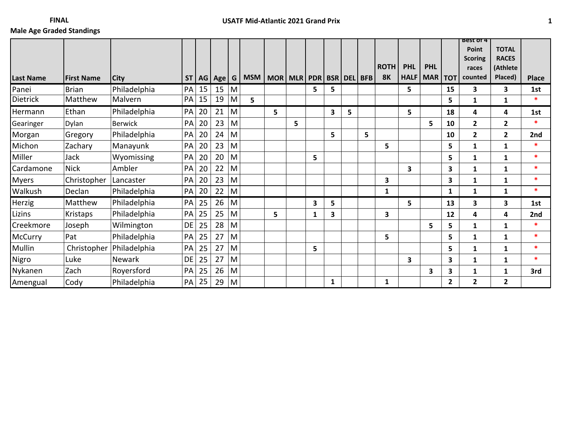|                  |                   |                |           |    |     |   |                                         |   |   |   |              |   |   |              |             |              |                | <b>BEST OT 4</b>        |                |              |
|------------------|-------------------|----------------|-----------|----|-----|---|-----------------------------------------|---|---|---|--------------|---|---|--------------|-------------|--------------|----------------|-------------------------|----------------|--------------|
|                  |                   |                |           |    |     |   |                                         |   |   |   |              |   |   |              |             |              |                | Point                   | <b>TOTAL</b>   |              |
|                  |                   |                |           |    |     |   |                                         |   |   |   |              |   |   |              |             |              |                | <b>Scoring</b>          | <b>RACES</b>   |              |
|                  |                   |                |           |    |     |   |                                         |   |   |   |              |   |   | <b>ROTH</b>  | <b>PHL</b>  | <b>PHL</b>   |                | races                   | (Athlete       |              |
| <b>Last Name</b> | <b>First Name</b> | <b>City</b>    | <b>ST</b> | AG | Age | G | MSM   MOR   MLR   PDR   BSR   DEL   BFB |   |   |   |              |   |   | <b>8K</b>    | <b>HALF</b> | <b>MAR</b>   | <b>TOT</b>     | counted                 | Placed)        | <b>Place</b> |
| Panei            | <b>Brian</b>      | Philadelphia   | PA        | 15 | 15  | M |                                         |   |   | 5 | 5            |   |   |              | 5           |              | 15             | $\overline{\mathbf{3}}$ | 3              | 1st          |
| <b>Dietrick</b>  | Matthew           | Malvern        | PA        | 15 | 19  | M | 5                                       |   |   |   |              |   |   |              |             |              | 5              | $\mathbf{1}$            | $\mathbf{1}$   | $\ast$       |
| Hermann          | Ethan             | Philadelphia   | PA        | 20 | 21  | M |                                         | 5 |   |   | 3            | 5 |   |              | 5           |              | 18             | 4                       | 4              | 1st          |
| Gearinger        | Dylan             | <b>Berwick</b> | PA        | 20 | 23  | M |                                         |   | 5 |   |              |   |   |              |             | 5            | 10             | $\mathbf{2}$            | $\overline{2}$ | sk.          |
| Morgan           | Gregory           | Philadelphia   | PA        | 20 | 24  | M |                                         |   |   |   | 5            |   | 5 |              |             |              | 10             | $\overline{2}$          | $\overline{2}$ | 2nd          |
| Michon           | Zachary           | Manayunk       | PA        | 20 | 23  | M |                                         |   |   |   |              |   |   | 5            |             |              | 5              | $\mathbf{1}$            | 1              | $\ast$       |
| Miller           | Jack              | Wyomissing     | PA        | 20 | 20  | M |                                         |   |   | 5 |              |   |   |              |             |              | 5              | $\mathbf{1}$            | 1              | $\ast$       |
| Cardamone        | <b>Nick</b>       | Ambler         | PA        | 20 | 22  | M |                                         |   |   |   |              |   |   |              | 3           |              | 3              | $\mathbf{1}$            | $\mathbf{1}$   | $\ast$       |
| <b>Myers</b>     | Christopher       | Lancaster      | PA        | 20 | 23  | M |                                         |   |   |   |              |   |   | 3            |             |              | 3              | $\mathbf{1}$            | $\mathbf{1}$   | $\ast$       |
| Walkush          | Declan            | Philadelphia   | PA        | 20 | 22  | M |                                         |   |   |   |              |   |   | $\mathbf{1}$ |             |              | $\mathbf{1}$   | $\mathbf{1}$            | 1              | $\ast$       |
| Herzig           | Matthew           | Philadelphia   | PA        | 25 | 26  | M |                                         |   |   | 3 | 5            |   |   |              | 5           |              | 13             | $\overline{\mathbf{3}}$ | 3              | 1st          |
| Lizins           | Kristaps          | Philadelphia   | PA        | 25 | 25  | M |                                         | 5 |   | 1 | 3            |   |   | 3            |             |              | 12             | 4                       | 4              | 2nd          |
| Creekmore        | Joseph            | Wilmington     | DE        | 25 | 28  | M |                                         |   |   |   |              |   |   |              |             | 5            | 5              | $\mathbf{1}$            | $\mathbf{1}$   | $\ast$       |
| <b>McCurry</b>   | Pat               | Philadelphia   | PA        | 25 | 27  | M |                                         |   |   |   |              |   |   | 5            |             |              | 5              | $\mathbf{1}$            | $\mathbf{1}$   | $\ast$       |
| Mullin           | Christopher       | Philadelphia   | PA        | 25 | 27  | M |                                         |   |   | 5 |              |   |   |              |             |              | 5              | 1                       | $\mathbf{1}$   | $\ast$       |
| Nigro            | Luke              | <b>Newark</b>  | DE        | 25 | 27  | M |                                         |   |   |   |              |   |   |              | 3           |              | 3              | $\mathbf{1}$            | 1              | $\ast$       |
| Nykanen          | Zach              | Royersford     | PA        | 25 | 26  | M |                                         |   |   |   |              |   |   |              |             | $\mathbf{3}$ | 3              | 1                       | 1              | 3rd          |
| Amengual         | Cody              | Philadelphia   | PA        | 25 | 29  | M |                                         |   |   |   | $\mathbf{1}$ |   |   | 1            |             |              | $\overline{2}$ | $\mathbf{2}$            | $\overline{2}$ |              |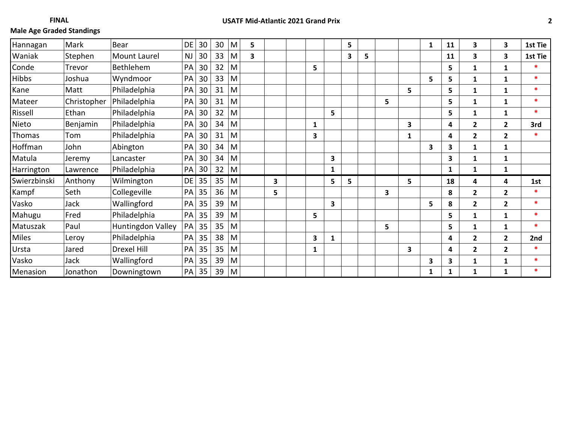| Hannagan     | Mark        | <b>Bear</b>       | DE        | 30 | 30 | M | 5 |   |              |                         | 5  |   |   |              | $\mathbf{1}$ | 11           | 3              | 3              | 1st Tie |
|--------------|-------------|-------------------|-----------|----|----|---|---|---|--------------|-------------------------|----|---|---|--------------|--------------|--------------|----------------|----------------|---------|
| Waniak       | Stephen     | Mount Laurel      | <b>NJ</b> | 30 | 33 | M | 3 |   |              |                         | 3  | 5 |   |              |              | 11           | 3              | 3              | 1st Tie |
| Conde        | Trevor      | Bethlehem         | PA        | 30 | 32 | M |   |   | 5            |                         |    |   |   |              |              | 5            | 1              | 1              |         |
| <b>Hibbs</b> | Joshua      | Wyndmoor          | PA        | 30 | 33 | M |   |   |              |                         |    |   |   |              | 5            | 5            | 1              | 1              | $\ast$  |
| Kane         | Matt        | Philadelphia      | PA        | 30 | 31 | M |   |   |              |                         |    |   |   | 5            |              | 5            | 1              | 1              | $\ast$  |
| Mateer       | Christopher | Philadelphia      | PA        | 30 | 31 | M |   |   |              |                         |    |   | 5 |              |              | 5            | 1              | 1              | $\ast$  |
| Rissell      | Ethan       | Philadelphia      | PA        | 30 | 32 | M |   |   |              | 5                       |    |   |   |              |              | 5            | 1              | $\mathbf{1}$   | $\ast$  |
| Nieto        | Benjamin    | Philadelphia      | PA        | 30 | 34 | M |   |   | $\mathbf{1}$ |                         |    |   |   | 3            |              | 4            | $\overline{2}$ | $\overline{2}$ | 3rd     |
| Thomas       | Tom         | Philadelphia      | PA        | 30 | 31 | M |   |   | 3            |                         |    |   |   | $\mathbf{1}$ |              | 4            | $\overline{2}$ | $\overline{2}$ | $\ast$  |
| Hoffman      | John        | Abington          | PA        | 30 | 34 | M |   |   |              |                         |    |   |   |              | 3            | 3            | $\mathbf{1}$   | 1              |         |
| Matula       | Jeremy      | Lancaster         | PA        | 30 | 34 | M |   |   |              | $\overline{\mathbf{3}}$ |    |   |   |              |              | 3            | 1              | 1              |         |
| Harrington   | Lawrence    | Philadelphia      | PA        | 30 | 32 | M |   |   |              | 1                       |    |   |   |              |              | $\mathbf{1}$ | 1              | 1              |         |
| Swierzbinski | Anthony     | Wilmington        | DE        | 35 | 35 | M |   | 3 |              | 5                       | 5. |   |   | 5            |              | 18           | 4              | 4              | 1st     |
| Kampf        | Seth        | Collegeville      | PA        | 35 | 36 | M |   | 5 |              |                         |    |   | 3 |              |              | 8            | $\mathbf{2}$   | $\overline{2}$ | $\ast$  |
| Vasko        | Jack        | Wallingford       | PA        | 35 | 39 | M |   |   |              | $\overline{\mathbf{3}}$ |    |   |   |              | 5            | 8            | $\overline{2}$ | $\overline{2}$ | $\ast$  |
| Mahugu       | Fred        | Philadelphia      | PA        | 35 | 39 | M |   |   | 5            |                         |    |   |   |              |              | 5.           | 1              | $\mathbf{1}$   | $\ast$  |
| Matuszak     | Paul        | Huntingdon Valley | PA        | 35 | 35 | M |   |   |              |                         |    |   | 5 |              |              | 5.           | $\mathbf{1}$   | $\mathbf{1}$   | $\ast$  |
| <b>Miles</b> | Leroy       | Philadelphia      | PA        | 35 | 38 | M |   |   | 3            | 1                       |    |   |   |              |              | 4            | $\overline{2}$ | $\overline{2}$ | 2nd     |
| Ursta        | Jared       | Drexel Hill       | PA        | 35 | 35 | M |   |   | 1            |                         |    |   |   | 3            |              | 4            | $\overline{2}$ | $\overline{2}$ | $\ast$  |
| Vasko        | Jack        | Wallingford       | PA        | 35 | 39 | M |   |   |              |                         |    |   |   |              | 3            | 3.           | 1              | 1              | ×       |
| Menasion     | Jonathon    | Downingtown       | PA        | 35 | 39 | M |   |   |              |                         |    |   |   |              | $\mathbf{1}$ | 1            | 1              | $\mathbf{1}$   | $\ast$  |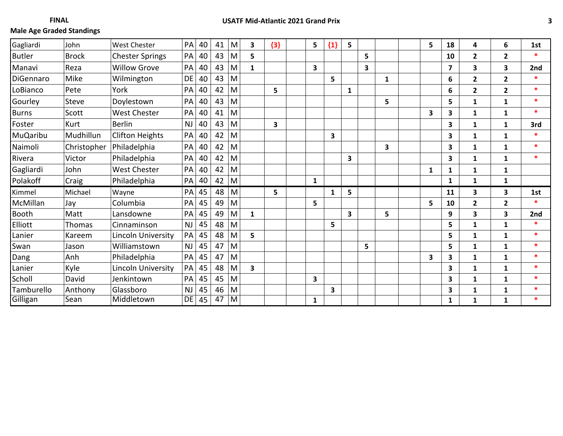| Gagliardi     | John         | <b>West Chester</b>       | PA        | 40 | 41 | M | 3            | ${3}$ | 5            | ${1}$ | 5 |   | 5                       | 18                      | 4              | 6              | 1st    |
|---------------|--------------|---------------------------|-----------|----|----|---|--------------|-------|--------------|-------|---|---|-------------------------|-------------------------|----------------|----------------|--------|
| <b>Butler</b> | <b>Brock</b> | <b>Chester Springs</b>    | PA        | 40 | 43 | M | 5            |       |              |       |   | 5 |                         | 10                      | $\mathbf{2}$   | $\overline{2}$ | sk.    |
| Manavi        | Reza         | <b>Willow Grove</b>       | PA        | 40 | 43 | M | $\mathbf{1}$ |       | 3            |       |   | 3 |                         | $\overline{7}$          | 3              | 3              | 2nd    |
| DiGennaro     | Mike         | Wilmington                | DE        | 40 | 43 | M |              |       |              | 5     |   | 1 |                         | 6                       | $\mathbf{2}$   | $\overline{2}$ | $\ast$ |
| LoBianco      | Pete         | York                      | PA        | 40 | 42 | M |              | 5     |              |       | 1 |   |                         | 6                       | $\overline{2}$ | $\overline{2}$ | $\ast$ |
| Gourley       | <b>Steve</b> | Doylestown                | PA        | 40 | 43 | M |              |       |              |       |   | 5 |                         | 5                       | $\mathbf{1}$   | $\mathbf{1}$   | $\ast$ |
| <b>Burns</b>  | Scott        | <b>West Chester</b>       | PA        | 40 | 41 | M |              |       |              |       |   |   | $\overline{\mathbf{3}}$ | 3                       | $\mathbf{1}$   | 1              | $\ast$ |
| Foster        | Kurt         | <b>Berlin</b>             | <b>NJ</b> | 40 | 43 | M |              | 3     |              |       |   |   |                         | 3                       | $\mathbf{1}$   | $\mathbf{1}$   | 3rd    |
| MuQaribu      | Mudhillun    | <b>Clifton Heights</b>    | PA        | 40 | 42 | M |              |       |              | 3     |   |   |                         | 3                       | $\mathbf{1}$   | $\mathbf{1}$   | $\ast$ |
| Naimoli       | Christopher  | Philadelphia              | PA        | 40 | 42 | M |              |       |              |       |   | 3 |                         | 3                       | $\mathbf{1}$   | 1              | $\ast$ |
| Rivera        | Victor       | Philadelphia              | PA        | 40 | 42 | M |              |       |              |       | 3 |   |                         | 3                       | $\mathbf{1}$   | $\mathbf{1}$   | $\ast$ |
| Gagliardi     | John         | <b>West Chester</b>       | PA        | 40 | 42 | M |              |       |              |       |   |   | $\mathbf{1}$            | 1                       | $\mathbf{1}$   | $\mathbf{1}$   |        |
| Polakoff      | Craig        | Philadelphia              | PA        | 40 | 42 | M |              |       | $\mathbf{1}$ |       |   |   |                         | $\mathbf{1}$            | $\mathbf{1}$   | $\mathbf{1}$   |        |
| Kimmel        | Michael      | Wayne                     | PA        | 45 | 48 | M |              | 5     |              | 1     | 5 |   |                         | 11                      | 3              | 3              | 1st    |
| McMillan      | Jay          | Columbia                  | PA        | 45 | 49 | M |              |       | 5            |       |   |   | 5                       | 10                      | $\overline{2}$ | $\overline{2}$ | $\ast$ |
| <b>Booth</b>  | Matt         | Lansdowne                 | PA        | 45 | 49 | M | $\mathbf{1}$ |       |              |       | 3 | 5 |                         | 9                       | 3              | 3              | 2nd    |
| Elliott       | Thomas       | Cinnaminson               | <b>NJ</b> | 45 | 48 | M |              |       |              | 5     |   |   |                         | 5                       | $\mathbf{1}$   | $\mathbf{1}$   | $\ast$ |
| Lanier        | Kareem       | <b>Lincoln University</b> | PA        | 45 | 48 | M | 5            |       |              |       |   |   |                         | 5                       | $\mathbf{1}$   | $\mathbf{1}$   | $\ast$ |
| Swan          | Jason        | Williamstown              | <b>NJ</b> | 45 | 47 | M |              |       |              |       |   | 5 |                         | 5                       | $\mathbf{1}$   | $\mathbf{1}$   | $\ast$ |
| Dang          | Anh          | Philadelphia              | PA        | 45 | 47 | M |              |       |              |       |   |   | $\overline{\mathbf{3}}$ | 3                       | $\mathbf{1}$   | $\mathbf{1}$   | $\ast$ |
| Lanier        | Kyle         | Lincoln University        | PA        | 45 | 48 | M | 3            |       |              |       |   |   |                         | $\overline{\mathbf{3}}$ | $\mathbf{1}$   | $\mathbf{1}$   | $\ast$ |
| Scholl        | David        | Jenkintown                | PA        | 45 | 45 | M |              |       | 3            |       |   |   |                         | 3                       | $\mathbf{1}$   | $\mathbf{1}$   | $\ast$ |
| Tamburello    | Anthony      | Glassboro                 | <b>NJ</b> | 45 | 46 | M |              |       |              | 3     |   |   |                         | 3                       | $\mathbf{1}$   | $\mathbf{1}$   | $\ast$ |
| Gilligan      | Sean         | Middletown                | DE        | 45 | 47 | M |              |       | $\mathbf{1}$ |       |   |   |                         | $\mathbf{1}$            | $\mathbf{1}$   | $\mathbf{1}$   | $\ast$ |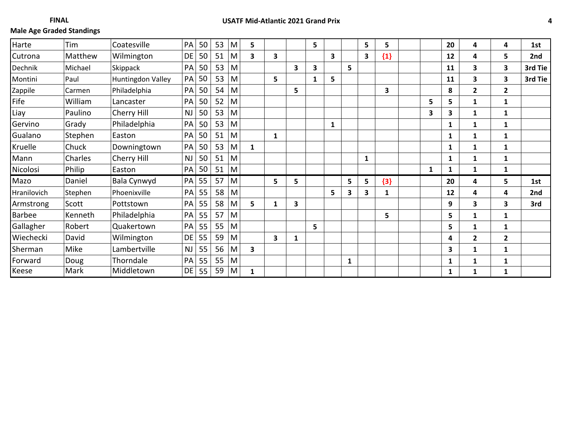**FINAL**

| Harte       | Tim     | Coatesville       | PA        | 50 | 53 | M | 5            |   |   | 5 |                         |    | 5                       | 5     |              | 20           | 4              | 4              | 1st     |
|-------------|---------|-------------------|-----------|----|----|---|--------------|---|---|---|-------------------------|----|-------------------------|-------|--------------|--------------|----------------|----------------|---------|
| Cutrona     | Matthew | Wilmington        | DE        | 50 | 51 | M | 3            | 3 |   |   | $\overline{\mathbf{3}}$ |    | $\overline{\mathbf{3}}$ | ${1}$ |              | 12           | 4              | 5              | 2nd     |
| Dechnik     | Michael | Skippack          | PA        | 50 | 53 | M |              |   | 3 | 3 |                         | 5. |                         |       |              | 11           | 3              | 3              | 3rd Tie |
| Montini     | Paul    | Huntingdon Valley | PA        | 50 | 53 | M |              | 5 |   | 1 | 5                       |    |                         |       |              | 11           | 3              | 3              | 3rd Tie |
| Zappile     | Carmen  | Philadelphia      | PA        | 50 | 54 | M |              |   | 5 |   |                         |    |                         | 3     |              | 8            | $\overline{2}$ | $\overline{2}$ |         |
| Fife        | William | Lancaster         | PA        | 50 | 52 | M |              |   |   |   |                         |    |                         |       | 5            | 5.           | $\mathbf{1}$   | 1              |         |
| Liay        | Paulino | Cherry Hill       | <b>NJ</b> | 50 | 53 | M |              |   |   |   |                         |    |                         |       | 3            | 3.           | 1              | 1              |         |
| Gervino     | Grady   | Philadelphia      | PA        | 50 | 53 | M |              |   |   |   | $\mathbf{1}$            |    |                         |       |              | 1            | 1              | 1              |         |
| Gualano     | Stephen | Easton            | PA        | 50 | 51 | M |              | 1 |   |   |                         |    |                         |       |              | $\mathbf{1}$ | $\mathbf{1}$   | 1              |         |
| Kruelle     | Chuck   | Downingtown       | PA        | 50 | 53 | M | $\mathbf{1}$ |   |   |   |                         |    |                         |       |              | 1            | $\mathbf{1}$   | $\mathbf{1}$   |         |
| Mann        | Charles | Cherry Hill       | <b>NJ</b> | 50 | 51 | M |              |   |   |   |                         |    | 1                       |       |              | 1            | $\mathbf{1}$   | $\mathbf{1}$   |         |
| Nicolosi    | Philip  | Easton            | PA        | 50 | 51 | M |              |   |   |   |                         |    |                         |       | $\mathbf{1}$ | 1            | $\mathbf{1}$   | $\mathbf{1}$   |         |
| Mazo        | Daniel  | Bala Cynwyd       | PA        | 55 | 57 | M |              | 5 | 5 |   |                         | 5  | 5                       | ${3}$ |              | 20           | 4              | 5              | 1st     |
| Hranilovich | Stephen | Phoenixville      | PA        | 55 | 58 | M |              |   |   |   | 5                       | 3  | 3                       | 1     |              | 12           | 4              | 4              | 2nd     |
| Armstrong   | Scott   | Pottstown         | PA        | 55 | 58 | M | 5            | 1 | 3 |   |                         |    |                         |       |              | 9            | 3              | 3              | 3rd     |
| Barbee      | Kenneth | Philadelphia      | PA        | 55 | 57 | M |              |   |   |   |                         |    |                         | 5     |              | 5.           | $\mathbf{1}$   | 1              |         |
| Gallagher   | Robert  | Quakertown        | PA        | 55 | 55 | M |              |   |   | 5 |                         |    |                         |       |              | 5.           | $\mathbf{1}$   | 1              |         |
| Wiechecki   | David   | Wilmington        | DE        | 55 | 59 | M |              | 3 | 1 |   |                         |    |                         |       |              | 4            | $\overline{2}$ | $\overline{2}$ |         |
| Sherman     | Mike    | Lambertville      | <b>NJ</b> | 55 | 56 | M | 3            |   |   |   |                         |    |                         |       |              | 3.           | $\mathbf{1}$   | 1              |         |
| Forward     | Doug    | Thorndale         | PA        | 55 | 55 | M |              |   |   |   |                         | 1  |                         |       |              | $\mathbf{1}$ | $\mathbf{1}$   | 1              |         |
| Keese       | Mark    | Middletown        | DE        | 55 | 59 | M | 1            |   |   |   |                         |    |                         |       |              | $\mathbf{1}$ | $\mathbf{1}$   | $\mathbf{1}$   |         |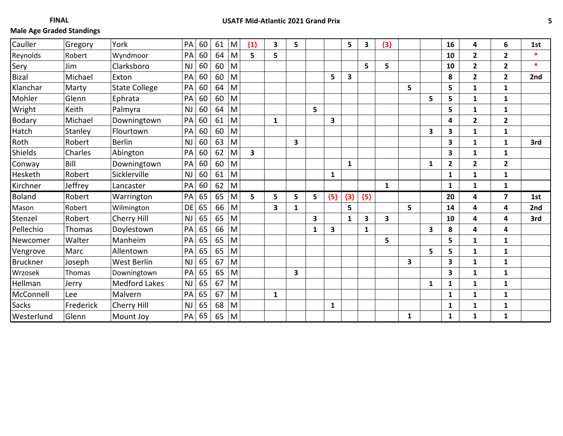| Cauller         | Gregory   | York                 | PA        | 60 | 61 | M | ${1}$ | 3 | 5 |   |       | 5            | $\overline{\mathbf{3}}$ | ${3}$        |   |              | 16           | 4                       | 6              | 1st    |
|-----------------|-----------|----------------------|-----------|----|----|---|-------|---|---|---|-------|--------------|-------------------------|--------------|---|--------------|--------------|-------------------------|----------------|--------|
| Reynolds        | Robert    | Wyndmoor             | PA        | 60 | 64 | M | 5     | 5 |   |   |       |              |                         |              |   |              | 10           | $\overline{2}$          | $\overline{2}$ | $\ast$ |
| Sery            | Jim       | Clarksboro           | <b>NJ</b> | 60 | 60 | M |       |   |   |   |       |              | 5                       | 5            |   |              | 10           | $\mathbf{2}$            | $\overline{2}$ | $\ast$ |
| <b>Bizal</b>    | Michael   | Exton                | PA        | 60 | 60 | M |       |   |   |   | 5     | 3            |                         |              |   |              | 8            | $\overline{2}$          | $\overline{2}$ | 2nd    |
| Klanchar        | Marty     | <b>State College</b> | PA        | 60 | 64 | M |       |   |   |   |       |              |                         |              | 5 |              | 5            | $\mathbf{1}$            | 1              |        |
| Mohler          | Glenn     | Ephrata              | PA        | 60 | 60 | M |       |   |   |   |       |              |                         |              |   | 5            | 5            | $\mathbf{1}$            | $\mathbf{1}$   |        |
| Wright          | Keith     | Palmyra              | <b>NJ</b> | 60 | 64 | M |       |   |   | 5 |       |              |                         |              |   |              | 5            | 1                       | 1              |        |
| Bodary          | Michael   | Downingtown          | PA        | 60 | 61 | M |       | 1 |   |   | 3     |              |                         |              |   |              | 4            | $\overline{2}$          | $\overline{2}$ |        |
| Hatch           | Stanley   | Flourtown            | PA        | 60 | 60 | M |       |   |   |   |       |              |                         |              |   | 3            | 3            | $\mathbf{1}$            | 1              |        |
| Roth            | Robert    | <b>Berlin</b>        | NJ        | 60 | 63 | M |       |   | 3 |   |       |              |                         |              |   |              | 3            | $\mathbf{1}$            | $\mathbf{1}$   | 3rd    |
| Shields         | Charles   | Abington             | PA        | 60 | 62 | M | 3     |   |   |   |       |              |                         |              |   |              | 3            | $\mathbf{1}$            | 1              |        |
| Conway          | Bill      | Downingtown          | PA        | 60 | 60 | M |       |   |   |   |       | $\mathbf{1}$ |                         |              |   | $\mathbf{1}$ | $\mathbf{2}$ | $\overline{2}$          | $\overline{2}$ |        |
| Hesketh         | Robert    | Sicklerville         | <b>NJ</b> | 60 | 61 | M |       |   |   |   | 1     |              |                         |              |   |              | $\mathbf{1}$ | $\mathbf{1}$            | $\mathbf{1}$   |        |
| Kirchner        | Jeffrey   | Lancaster            | PA        | 60 | 62 | M |       |   |   |   |       |              |                         | $\mathbf{1}$ |   |              | $\mathbf{1}$ | $\mathbf{1}$            | $\mathbf{1}$   |        |
| <b>Boland</b>   | Robert    | Warrington           | PA        | 65 | 65 | M | 5     | 5 | 5 | 5 | ${5}$ | ${3}$        | ${5}$                   |              |   |              | 20           | $\overline{\mathbf{4}}$ | 7              | 1st    |
| Mason           | Robert    | Wilmington           | DE        | 65 | 66 | M |       | 3 | 1 |   |       | 5            |                         |              | 5 |              | 14           | $\overline{\mathbf{4}}$ | 4              | 2nd    |
| Stenzel         | Robert    | Cherry Hill          | <b>NJ</b> | 65 | 65 | M |       |   |   | 3 |       | $\mathbf{1}$ | 3                       | 3            |   |              | 10           | 4                       | 4              | 3rd    |
| Pellechio       | Thomas    | Doylestown           | PA        | 65 | 66 | M |       |   |   | 1 | 3     |              | 1                       |              |   | 3            | 8            | 4                       | 4              |        |
| Newcomer        | Walter    | Manheim              | PA        | 65 | 65 | M |       |   |   |   |       |              |                         | 5            |   |              | 5            | $\mathbf{1}$            | $\mathbf{1}$   |        |
| Vengrove        | Marc      | Allentown            | PA        | 65 | 65 | M |       |   |   |   |       |              |                         |              |   | 5            | 5            | $\mathbf{1}$            | $\mathbf{1}$   |        |
| <b>Bruckner</b> | Joseph    | <b>West Berlin</b>   | <b>NJ</b> | 65 | 67 | M |       |   |   |   |       |              |                         |              | 3 |              | 3            | $\mathbf{1}$            | 1              |        |
| Wrzosek         | Thomas    | Downingtown          | PA        | 65 | 65 | M |       |   | 3 |   |       |              |                         |              |   |              | 3            | $\mathbf{1}$            | $\mathbf{1}$   |        |
| Hellman         | Jerry     | <b>Medford Lakes</b> | <b>NJ</b> | 65 | 67 | M |       |   |   |   |       |              |                         |              |   | $\mathbf{1}$ | $\mathbf{1}$ | $\mathbf{1}$            | $\mathbf{1}$   |        |
|                 |           |                      |           |    |    |   |       |   |   |   |       |              |                         |              |   |              |              |                         |                |        |
| McConnell       | Lee       | Malvern              | PA        | 65 | 67 | M |       | 1 |   |   |       |              |                         |              |   |              | $\mathbf{1}$ | 1                       | $\mathbf{1}$   |        |
| <b>Sacks</b>    | Frederick | Cherry Hill          | <b>NJ</b> | 65 | 68 | M |       |   |   |   | 1     |              |                         |              |   |              | 1            | 1                       | 1              |        |